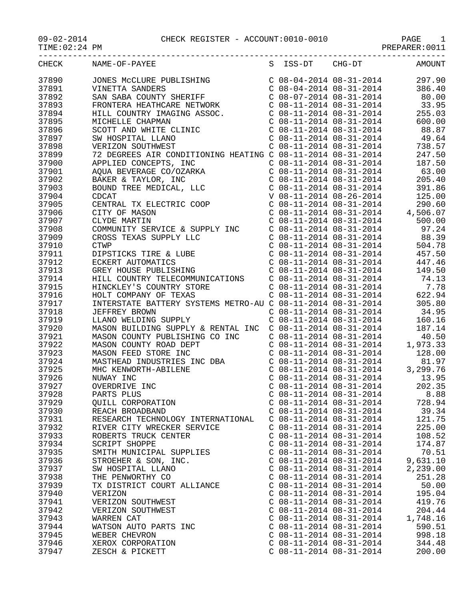09-02-2014 CHECK REGISTER - ACCOUNT:0010-0010 PAGE 1

-----------------------------------------------------------------------------------

| $09 - 02 - 2014$ |
|------------------|
|------------------|

TIME:02:24 PM PREPARER:0011

| <b>CHECK</b> | NAME-OF-PAYEE                                                                                                                                                          | S | ISS-DT                    | CHG-DT                    | AMOUNT                                                                                                                                                                                                                                                                                     |
|--------------|------------------------------------------------------------------------------------------------------------------------------------------------------------------------|---|---------------------------|---------------------------|--------------------------------------------------------------------------------------------------------------------------------------------------------------------------------------------------------------------------------------------------------------------------------------------|
| 37890        | JONES MCCLURE PUBLISHING                                                                                                                                               |   |                           |                           | $C$ 08-04-2014 08-31-2014 297.90                                                                                                                                                                                                                                                           |
| 37891        |                                                                                                                                                                        |   |                           | $C$ 08-04-2014 08-31-2014 | 386.40                                                                                                                                                                                                                                                                                     |
| 37892        |                                                                                                                                                                        |   |                           |                           |                                                                                                                                                                                                                                                                                            |
| 37893        | VINETTA SANDERS<br>SAN SABA COUNTY SHERIFF<br>FRONTERA HEATHCARE NETWORK<br>HILL COUNTRY IMAGING ASSOC.<br>MICHELLE CHAPMAN                                            |   |                           |                           | $\left. \begin{array}{llllll} \mbox{C} & 08-07-2014 & 08-31-2014 & & 80.00 \\ \mbox{C} & 08-11-2014 & 08-31-2014 & & 33.95 \\ \mbox{C} & 08-11-2014 & 08-31-2014 & & 255.03 \\ \end{array} \right.$                                                                                        |
| 37894        |                                                                                                                                                                        |   |                           |                           |                                                                                                                                                                                                                                                                                            |
| 37895        |                                                                                                                                                                        |   |                           | $C$ 08-11-2014 08-31-2014 | 600.00                                                                                                                                                                                                                                                                                     |
| 37896        | SCOTT AND WHITE CLINIC                                                                                                                                                 |   |                           |                           | $C$ 08-11-2014 08-31-2014 88.87                                                                                                                                                                                                                                                            |
| 37897        | SW HOSPITAL LLANO                                                                                                                                                      |   |                           | $C$ 08-11-2014 08-31-2014 | 49.64                                                                                                                                                                                                                                                                                      |
| 37898        |                                                                                                                                                                        |   |                           |                           |                                                                                                                                                                                                                                                                                            |
| 37899        | VERIZON SOUTHWEST<br>738.57 C 08-11-2014 08-31-2014<br>72 DEGREES AIR CONDITIONING HEATING C 08-11-2014 08-31-2014 247.50                                              |   |                           |                           |                                                                                                                                                                                                                                                                                            |
| 37900        |                                                                                                                                                                        |   |                           | $C$ 08-11-2014 08-31-2014 | 187.50                                                                                                                                                                                                                                                                                     |
| 37901        | APPLIED CONCEPTS, INC<br>AQUA BEVERAGE CO/OZARKA                                                                                                                       |   |                           |                           | $C$ 08-11-2014 08-31-2014 63.00                                                                                                                                                                                                                                                            |
| 37902        | APPLIED CONCERT ,<br>AQUA BEVERAGE CO/OZARKA<br>BAKER & TAYLOR, INC<br>BOUND TREE MEDICAL, LLC<br>CDCAT<br>CENTRAL TX ELECTRIC COOP<br>CITY OF MASON                   |   |                           |                           |                                                                                                                                                                                                                                                                                            |
|              |                                                                                                                                                                        |   |                           |                           | $C$ 08-11-2014 08-31-2014 205.40                                                                                                                                                                                                                                                           |
| 37903        |                                                                                                                                                                        |   |                           |                           | 391.86                                                                                                                                                                                                                                                                                     |
| 37904        |                                                                                                                                                                        |   |                           |                           | C 08-11-2014 08-31-2014 391.86<br>V 08-11-2014 08-26-2014 125.00<br>C 08-11-2014 08-31-2014 290.60<br>C 08-11-2014 08-31-2014 4,506.07                                                                                                                                                     |
| 37905        |                                                                                                                                                                        |   |                           |                           |                                                                                                                                                                                                                                                                                            |
| 37906        |                                                                                                                                                                        |   |                           |                           |                                                                                                                                                                                                                                                                                            |
| 37907        |                                                                                                                                                                        |   |                           | $C$ 08-11-2014 08-31-2014 | 500.00                                                                                                                                                                                                                                                                                     |
| 37908        | COMMUNITY SERVICE & SUPPLY INC                                                                                                                                         |   |                           |                           | C 08-11-2014 08-31-2014<br>C 08-11-2014 08-31-2014 88.39<br>C 08-11-2014 08-31-2014 504.78                                                                                                                                                                                                 |
| 37909        |                                                                                                                                                                        |   |                           |                           |                                                                                                                                                                                                                                                                                            |
| 37910        |                                                                                                                                                                        |   |                           |                           |                                                                                                                                                                                                                                                                                            |
| 37911        | CROSS TEXAS SUPPLY LLC<br>CTWP<br>DIPSTICKS TIRE & LUBE<br>ECKERT AUTOMATICS<br>GREY HOUSE PUBLISHING                                                                  |   |                           |                           | C $08-11-2014$ $08-31-2014$ $457.50$                                                                                                                                                                                                                                                       |
| 37912        |                                                                                                                                                                        |   |                           | $C$ 08-11-2014 08-31-2014 | 447.46                                                                                                                                                                                                                                                                                     |
| 37913        |                                                                                                                                                                        |   |                           | $C$ 08-11-2014 08-31-2014 | 149.50                                                                                                                                                                                                                                                                                     |
| 37914        | HILL COUNTRY TELECOMMUNICATIONS                                                                                                                                        |   |                           |                           |                                                                                                                                                                                                                                                                                            |
| 37915        | HINCKLEY'S COUNTRY STORE<br>HOLT COMPANY OF TEXAS                                                                                                                      |   |                           |                           |                                                                                                                                                                                                                                                                                            |
| 37916        | HOLT COMPANY OF TEXAS                                                                                                                                                  |   |                           |                           | $\begin{array}{cccc} \texttt{C} & 08\texttt{-}11\texttt{-}2014 & 08\texttt{-}31\texttt{-}2014 & 74.13 \\ \texttt{C} & 08\texttt{-}11\texttt{-}2014 & 08\texttt{-}31\texttt{-}2014 & 7.78 \\ \texttt{C} & 08\texttt{-}11\texttt{-}2014 & 08\texttt{-}31\texttt{-}2014 & 622.94 \end{array}$ |
| 37917        | INTERSTATE BATTERY SYSTEMS METRO-AU C 08-11-2014 08-31-2014 305.80                                                                                                     |   |                           |                           |                                                                                                                                                                                                                                                                                            |
| 37918        | JEFFREY BROWN                                                                                                                                                          |   |                           |                           | $C$ 08-11-2014 08-31-2014 34.95                                                                                                                                                                                                                                                            |
| 37919        | LLANO WELDING SUPPLY                                                                                                                                                   |   |                           | $C$ 08-11-2014 08-31-2014 | 160.16                                                                                                                                                                                                                                                                                     |
| 37920        | MASON BUILDING SUPPLY & RENTAL INC                                                                                                                                     |   |                           |                           |                                                                                                                                                                                                                                                                                            |
| 37921        | MASON COUNTY PUBLISHING CO INC                                                                                                                                         |   |                           |                           |                                                                                                                                                                                                                                                                                            |
| 37922        | MASON COUNTY ROAD DEPT<br>MASON FEED STORE INC<br>MASTHEAD INDUSTRIES INC DBA<br>MHC KENWORTH-ABILENE<br>NUWAY INC<br>OVERDRIVE INC<br>PARTS PLUS<br>QUILL CORPORATION |   |                           |                           | $\begin{array}{cccc} \text{C} & 08\text{--}11\text{--}2014 & 08\text{--}31\text{--}2014 & & 187.14 \\ \text{C} & 08\text{--}11\text{--}2014 & 08\text{--}31\text{--}2014 & & 40.50 \\ \text{C} & 08\text{--}11\text{--}2014 & 08\text{--}31\text{--}2014 & & 1,973.33 \end{array}$         |
| 37923        |                                                                                                                                                                        |   |                           |                           | $C$ 08-11-2014 08-31-2014 128.00                                                                                                                                                                                                                                                           |
| 37924        |                                                                                                                                                                        |   |                           |                           |                                                                                                                                                                                                                                                                                            |
| 37925        |                                                                                                                                                                        |   |                           |                           |                                                                                                                                                                                                                                                                                            |
| 37926        |                                                                                                                                                                        |   |                           |                           |                                                                                                                                                                                                                                                                                            |
| 37927        |                                                                                                                                                                        |   |                           |                           |                                                                                                                                                                                                                                                                                            |
| 37928        |                                                                                                                                                                        |   |                           | $C$ 08-11-2014 08-31-2014 | 8.88                                                                                                                                                                                                                                                                                       |
| 37929        | QUILL CORPORATION                                                                                                                                                      |   | $C$ 08-11-2014 08-31-2014 |                           | 728.94                                                                                                                                                                                                                                                                                     |
| 37930        | REACH BROADBAND                                                                                                                                                        |   |                           | $C$ 08-11-2014 08-31-2014 | 39.34                                                                                                                                                                                                                                                                                      |
| 37931        | RESEARCH TECHNOLOGY INTERNATIONAL                                                                                                                                      |   |                           | $C$ 08-11-2014 08-31-2014 | 121.75                                                                                                                                                                                                                                                                                     |
| 37932        | RIVER CITY WRECKER SERVICE                                                                                                                                             |   |                           | $C$ 08-11-2014 08-31-2014 | 225.00                                                                                                                                                                                                                                                                                     |
| 37933        | ROBERTS TRUCK CENTER                                                                                                                                                   |   |                           | $C$ 08-11-2014 08-31-2014 | 108.52                                                                                                                                                                                                                                                                                     |
| 37934        | SCRIPT SHOPPE                                                                                                                                                          |   |                           | $C$ 08-11-2014 08-31-2014 | 174.87                                                                                                                                                                                                                                                                                     |
| 37935        | SMITH MUNICIPAL SUPPLIES                                                                                                                                               |   | $C$ 08-11-2014 08-31-2014 |                           | 70.51                                                                                                                                                                                                                                                                                      |
| 37936        | STROEHER & SON, INC.                                                                                                                                                   |   | $C$ 08-11-2014 08-31-2014 |                           | 9,631.10                                                                                                                                                                                                                                                                                   |
| 37937        | SW HOSPITAL LLANO                                                                                                                                                      |   |                           | $C$ 08-11-2014 08-31-2014 | 2,239.00                                                                                                                                                                                                                                                                                   |
|              |                                                                                                                                                                        |   |                           | $C$ 08-11-2014 08-31-2014 | 251.28                                                                                                                                                                                                                                                                                     |
| 37938        | THE PENWORTHY CO                                                                                                                                                       |   |                           |                           |                                                                                                                                                                                                                                                                                            |
| 37939        | TX DISTRICT COURT ALLIANCE                                                                                                                                             |   |                           | $C$ 08-11-2014 08-31-2014 | 50.00                                                                                                                                                                                                                                                                                      |
| 37940        | VERIZON                                                                                                                                                                |   |                           | $C$ 08-11-2014 08-31-2014 | 195.04                                                                                                                                                                                                                                                                                     |
| 37941        | VERIZON SOUTHWEST                                                                                                                                                      |   | $C$ 08-11-2014 08-31-2014 |                           | 419.76                                                                                                                                                                                                                                                                                     |
| 37942        | VERIZON SOUTHWEST                                                                                                                                                      |   |                           | $C$ 08-11-2014 08-31-2014 | 204.44                                                                                                                                                                                                                                                                                     |
| 37943        | WARREN CAT                                                                                                                                                             |   |                           | $C$ 08-11-2014 08-31-2014 | 1,748.16                                                                                                                                                                                                                                                                                   |
| 37944        | WATSON AUTO PARTS INC                                                                                                                                                  |   |                           | $C$ 08-11-2014 08-31-2014 | 590.51                                                                                                                                                                                                                                                                                     |
| 37945        | WEBER CHEVRON                                                                                                                                                          |   |                           | $C$ 08-11-2014 08-31-2014 | 998.18                                                                                                                                                                                                                                                                                     |
| 37946        | XEROX CORPORATION                                                                                                                                                      |   | $C$ 08-11-2014 08-31-2014 |                           | 344.48                                                                                                                                                                                                                                                                                     |
| 37947        | ZESCH & PICKETT                                                                                                                                                        |   | $C$ 08-11-2014 08-31-2014 |                           | 200.00                                                                                                                                                                                                                                                                                     |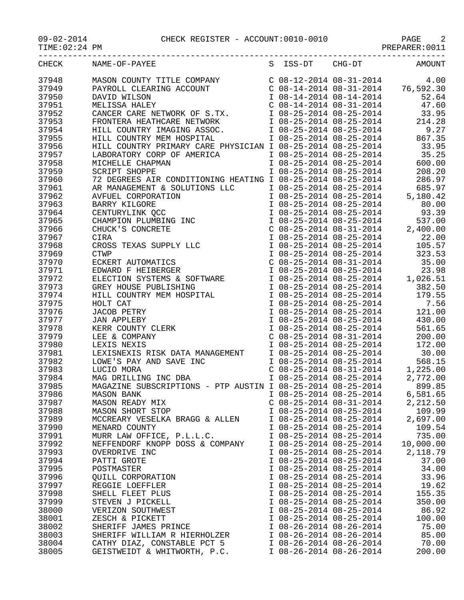|                | S ISS-DT CHG-DT AMOUNT<br>CHECK NAME-OF-PAYEE                                                                                                                                                                                                      |                                                    |                             |                                                                                                                                                                                                                                              |
|----------------|----------------------------------------------------------------------------------------------------------------------------------------------------------------------------------------------------------------------------------------------------|----------------------------------------------------|-----------------------------|----------------------------------------------------------------------------------------------------------------------------------------------------------------------------------------------------------------------------------------------|
| 37948          | MASON COUNTY TITLE COMPANY<br>PAYROLL CLEARING ACCOUNT<br>DAVID WILSON<br>DAVID WILSON<br>MELISSA HALEY<br>MELISSA HALEY<br>C 08-14-2014 08-31-2014<br>C 08-14-2014 08-14-2014<br>C 08-14-2014 08-31-2014<br>C 08-14-2014 08-31-2014<br>T 08-25-20 |                                                    |                             |                                                                                                                                                                                                                                              |
| 37949          |                                                                                                                                                                                                                                                    |                                                    |                             |                                                                                                                                                                                                                                              |
| 37950          |                                                                                                                                                                                                                                                    |                                                    |                             |                                                                                                                                                                                                                                              |
| 37951          |                                                                                                                                                                                                                                                    |                                                    |                             |                                                                                                                                                                                                                                              |
| 37952          |                                                                                                                                                                                                                                                    |                                                    |                             |                                                                                                                                                                                                                                              |
| 37953          |                                                                                                                                                                                                                                                    |                                                    |                             |                                                                                                                                                                                                                                              |
| 37954          |                                                                                                                                                                                                                                                    |                                                    |                             |                                                                                                                                                                                                                                              |
| 37955          |                                                                                                                                                                                                                                                    |                                                    |                             |                                                                                                                                                                                                                                              |
| 37956          |                                                                                                                                                                                                                                                    |                                                    |                             |                                                                                                                                                                                                                                              |
| 37957          | HILL COUNTRY IMAGING ASSOC.<br>HILL COUNTRY MEM HOSPITAL 108-25-2014 08-25-2014 08-25-2014<br>HILL COUNTRY MEM HOSPITAL 108-25-2014 08-25-2014 867.35<br>HILL COUNTRY PRIMARY CARE PHYSICIAN I 08-25-2014 08-25-2014 33.95<br>LABORATO             |                                                    |                             |                                                                                                                                                                                                                                              |
| 37958          | LABORATORY CORP OF AMERICA<br>MICHELLE CHAPMAN<br>SCRIPT SHOPPE                                                                                                                                                                                    |                                                    |                             | I 08-25-2014 08-25-2014 600.00                                                                                                                                                                                                               |
| 37959          |                                                                                                                                                                                                                                                    |                                                    | $1\ 08-25-2014\ 08-25-2014$ | 208.20                                                                                                                                                                                                                                       |
| 37960          |                                                                                                                                                                                                                                                    |                                                    |                             |                                                                                                                                                                                                                                              |
| 37961          |                                                                                                                                                                                                                                                    |                                                    |                             |                                                                                                                                                                                                                                              |
| 37962          |                                                                                                                                                                                                                                                    |                                                    |                             |                                                                                                                                                                                                                                              |
| 37963          |                                                                                                                                                                                                                                                    |                                                    |                             |                                                                                                                                                                                                                                              |
| 37964          |                                                                                                                                                                                                                                                    |                                                    |                             |                                                                                                                                                                                                                                              |
| 37965          |                                                                                                                                                                                                                                                    |                                                    |                             |                                                                                                                                                                                                                                              |
| 37966          |                                                                                                                                                                                                                                                    |                                                    |                             |                                                                                                                                                                                                                                              |
| 37967          |                                                                                                                                                                                                                                                    |                                                    |                             |                                                                                                                                                                                                                                              |
| 37968          |                                                                                                                                                                                                                                                    |                                                    |                             |                                                                                                                                                                                                                                              |
| 37969          |                                                                                                                                                                                                                                                    |                                                    |                             |                                                                                                                                                                                                                                              |
| 37970          |                                                                                                                                                                                                                                                    |                                                    |                             |                                                                                                                                                                                                                                              |
| 37971          |                                                                                                                                                                                                                                                    |                                                    |                             | 1 08-25-2014 08-25-2014 323.53<br>C 08-25-2014 08-31-2014 35.00<br>I 08-25-2014 08-25-2014 23.98<br>I 08-25-2014 08-25-2014 1,026.51<br>I 08-25-2014 08-25-2014 382.50<br>I 08-25-2014 08-25-2014 179.55<br>I 08-25-2014 08-25-2014 7.56<br> |
| 37972          |                                                                                                                                                                                                                                                    |                                                    |                             |                                                                                                                                                                                                                                              |
| 37973          |                                                                                                                                                                                                                                                    |                                                    |                             |                                                                                                                                                                                                                                              |
| 37974          |                                                                                                                                                                                                                                                    |                                                    |                             |                                                                                                                                                                                                                                              |
| 37975          | HOLT CAT<br>HOLT CAT<br>JACOB PETRY<br>JAN APPLEBY<br>KERR COUNTY CLERK<br>LEE & COMPANY<br>LEXIS NEXIS                                                                                                                                            |                                                    |                             |                                                                                                                                                                                                                                              |
| 37976          |                                                                                                                                                                                                                                                    |                                                    |                             |                                                                                                                                                                                                                                              |
| 37977          |                                                                                                                                                                                                                                                    |                                                    |                             |                                                                                                                                                                                                                                              |
| 37978          |                                                                                                                                                                                                                                                    |                                                    |                             |                                                                                                                                                                                                                                              |
| 37979          |                                                                                                                                                                                                                                                    |                                                    | $C$ 08-25-2014 08-31-2014   | 200.00                                                                                                                                                                                                                                       |
| 37980          |                                                                                                                                                                                                                                                    |                                                    | I 08-25-2014 08-25-2014     | 172.00                                                                                                                                                                                                                                       |
| 37981          | LEXISNEXIS RISK DATA MANAGEMENT<br>LOWE'S PAY AND SAVE INC<br>LOWE'S PAY AND SAVE INC<br>LUCIO MORA<br>C 08-25-2014 08-25-2014 1,225.00<br>MAG DRILLING INC DBA<br>I 08-25-2014 08-25-2014 2,772.00                                                |                                                    |                             |                                                                                                                                                                                                                                              |
| 37982          |                                                                                                                                                                                                                                                    |                                                    |                             |                                                                                                                                                                                                                                              |
| 37983          |                                                                                                                                                                                                                                                    |                                                    |                             |                                                                                                                                                                                                                                              |
| 37984          |                                                                                                                                                                                                                                                    |                                                    |                             |                                                                                                                                                                                                                                              |
| 37985          | MAGAZINE SUBSCRIPTIONS - PTP AUSTIN I 08-25-2014 08-25-2014                                                                                                                                                                                        |                                                    |                             | 899.85                                                                                                                                                                                                                                       |
| 37986          | MASON BANK                                                                                                                                                                                                                                         | I 08-25-2014 08-25-2014                            |                             | 6,581.65                                                                                                                                                                                                                                     |
| 37987          | MASON READY MIX                                                                                                                                                                                                                                    | $C$ 08-25-2014 08-31-2014                          |                             | 2,212.50                                                                                                                                                                                                                                     |
| 37988          | MASON SHORT STOP                                                                                                                                                                                                                                   | I 08-25-2014 08-25-2014                            |                             | 109.99                                                                                                                                                                                                                                       |
| 37989          | MCCREARY VESELKA BRAGG & ALLEN                                                                                                                                                                                                                     | I 08-25-2014 08-25-2014                            |                             | 2,697.00                                                                                                                                                                                                                                     |
| 37990          | MENARD COUNTY                                                                                                                                                                                                                                      | I 08-25-2014 08-25-2014                            |                             | 109.54                                                                                                                                                                                                                                       |
| 37991          | MURR LAW OFFICE, P.L.L.C.                                                                                                                                                                                                                          | I 08-25-2014 08-25-2014                            |                             | 735.00                                                                                                                                                                                                                                       |
| 37992          | NEFFENDORF KNOPP DOSS & COMPANY                                                                                                                                                                                                                    | I 08-25-2014 08-25-2014                            |                             | 10,000.00                                                                                                                                                                                                                                    |
| 37993          | OVERDRIVE INC                                                                                                                                                                                                                                      | I 08-25-2014 08-25-2014                            |                             | 2,118.79                                                                                                                                                                                                                                     |
| 37994          | PATTI GROTE                                                                                                                                                                                                                                        | I 08-25-2014 08-25-2014                            |                             | 37.00                                                                                                                                                                                                                                        |
| 37995          | POSTMASTER                                                                                                                                                                                                                                         | I 08-25-2014 08-25-2014                            |                             | 34.00                                                                                                                                                                                                                                        |
| 37996          | <b>OUILL CORPORATION</b>                                                                                                                                                                                                                           | I 08-25-2014 08-25-2014                            |                             | 33.96                                                                                                                                                                                                                                        |
| 37997          | REGGIE LOEFFLER                                                                                                                                                                                                                                    | I 08-25-2014 08-25-2014                            |                             | 19.62                                                                                                                                                                                                                                        |
| 37998<br>37999 | SHELL FLEET PLUS                                                                                                                                                                                                                                   | I 08-25-2014 08-25-2014<br>I 08-25-2014 08-25-2014 |                             | 155.35<br>350.00                                                                                                                                                                                                                             |
|                | STEVEN J PICKELL<br>VERIZON SOUTHWEST                                                                                                                                                                                                              | I 08-25-2014 08-25-2014                            |                             | 86.92                                                                                                                                                                                                                                        |
| 38000<br>38001 | ZESCH & PICKETT                                                                                                                                                                                                                                    | I 08-25-2014 08-25-2014                            |                             | 100.00                                                                                                                                                                                                                                       |
| 38002          | SHERIFF JAMES PRINCE                                                                                                                                                                                                                               | I 08-26-2014 08-26-2014                            |                             | 75.00                                                                                                                                                                                                                                        |
| 38003          | SHERIFF WILLIAM R HIERHOLZER                                                                                                                                                                                                                       | I 08-26-2014 08-26-2014                            |                             | 85.00                                                                                                                                                                                                                                        |
|                |                                                                                                                                                                                                                                                    |                                                    |                             |                                                                                                                                                                                                                                              |

38004 CATHY DIAZ, CONSTABLE PCT 5 I 08-26-2014 08-26-2014 70.00 38005 GEISTWEIDT & WHITWORTH, P.C. I 08-26-2014 08-26-2014 200.00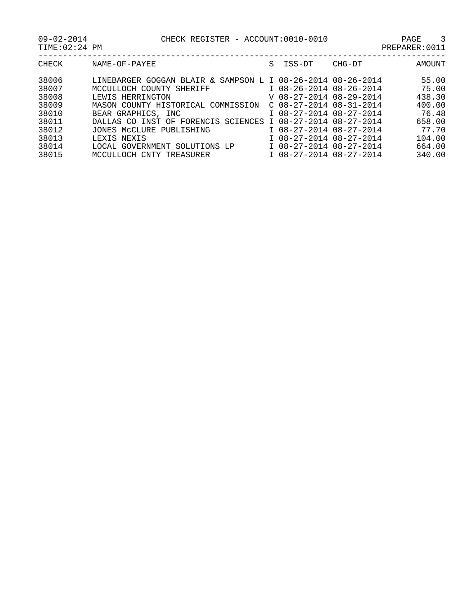09-02-2014 CHECK REGISTER - ACCOUNT:0010-0010 PAGE 3

TIME:02:24 PM PREPARER:0011

| CHECK | NAME-OF-PAYEE                                               | S | ISS-DT                    | CHG-DT | AMOUNT |
|-------|-------------------------------------------------------------|---|---------------------------|--------|--------|
| 38006 | LINEBARGER GOGGAN BLAIR & SAMPSON L I 08-26-2014 08-26-2014 |   |                           |        | 55.00  |
| 38007 | MCCULLOCH COUNTY SHERIFF                                    |   | I 08-26-2014 08-26-2014   |        | 75.00  |
| 38008 | LEWIS HERRINGTON                                            |   | V 08-27-2014 08-29-2014   |        | 438.30 |
| 38009 | MASON COUNTY HISTORICAL COMMISSION                          |   | $C$ 08-27-2014 08-31-2014 |        | 400.00 |
| 38010 | BEAR GRAPHICS, INC.                                         |   | I 08-27-2014 08-27-2014   |        | 76.48  |
| 38011 | DALLAS CO INST OF FORENCIS SCIENCES I 08-27-2014 08-27-2014 |   |                           |        | 658.00 |
| 38012 | JONES MCCLURE PUBLISHING                                    |   | I 08-27-2014 08-27-2014   |        | 77.70  |
| 38013 | LEXIS NEXIS                                                 |   | I 08-27-2014 08-27-2014   |        | 104.00 |
| 38014 | LOCAL GOVERNMENT SOLUTIONS LP                               |   | I 08-27-2014 08-27-2014   |        | 664.00 |
| 38015 | MCCULLOCH CNTY TREASURER                                    |   | I 08-27-2014 08-27-2014   |        | 340.00 |
|       |                                                             |   |                           |        |        |